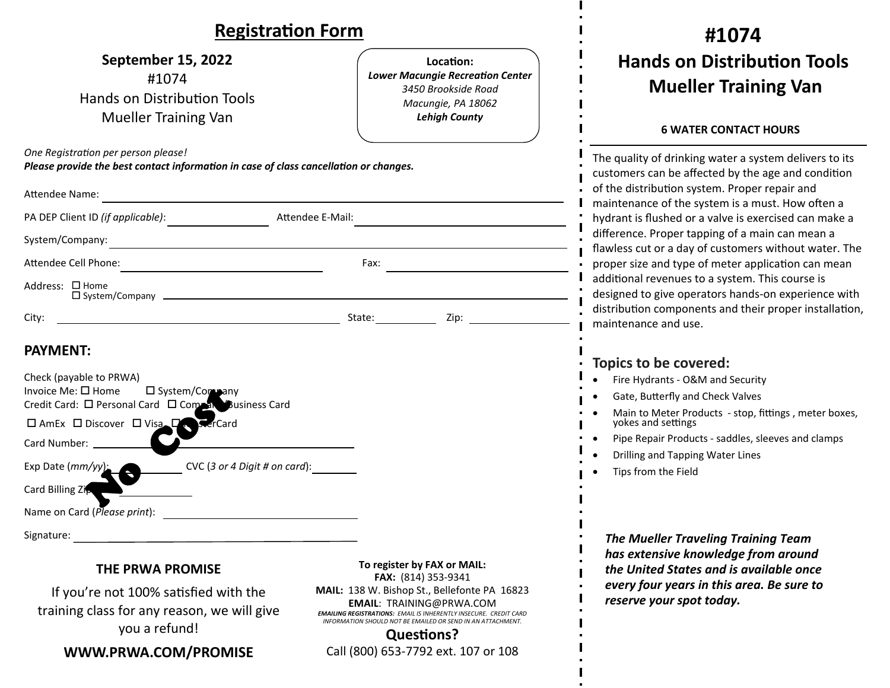# **RegistraƟon Form**

|                                                                                                                                                                                                                                                                         |                                                                                                                           | 810/4                                                                                                                                                                                                                                                                                                                         |  |
|-------------------------------------------------------------------------------------------------------------------------------------------------------------------------------------------------------------------------------------------------------------------------|---------------------------------------------------------------------------------------------------------------------------|-------------------------------------------------------------------------------------------------------------------------------------------------------------------------------------------------------------------------------------------------------------------------------------------------------------------------------|--|
| <b>September 15, 2022</b><br>#1074<br><b>Hands on Distribution Tools</b><br><b>Mueller Training Van</b>                                                                                                                                                                 | Location:<br><b>Lower Macungie Recreation Center</b><br>3450 Brookside Road<br>Macungie, PA 18062<br><b>Lehigh County</b> | <b>Hands on Distribution Tools</b><br><b>Mueller Training Van</b><br><b>6 WATER CONTACT HOURS</b>                                                                                                                                                                                                                             |  |
| One Registration per person please!<br>Please provide the best contact information in case of class cancellation or changes.<br>Attendee Name:<br><u> 1989 - Johann Stoff, deutscher Stoffen und der Stoffen und der Stoffen und der Stoffen und der Stoffen und de</u> |                                                                                                                           | The quality of drinking water a system delivers to its<br>customers can be affected by the age and condition<br>of the distribution system. Proper repair and<br>maintenance of the system is a must. How often a<br>hydrant is flushed or a valve is exercised can make a<br>difference. Proper tapping of a main can mean a |  |
| PA DEP Client ID (if applicable): Many Attendee E-Mail:                                                                                                                                                                                                                 |                                                                                                                           |                                                                                                                                                                                                                                                                                                                               |  |
| System/Company:                                                                                                                                                                                                                                                         |                                                                                                                           |                                                                                                                                                                                                                                                                                                                               |  |
| Attendee Cell Phone:<br><u> 1980 - Johann Barn, mars eta bainar eta i</u>                                                                                                                                                                                               | Fax:                                                                                                                      | flawless cut or a day of customers without water. The<br>proper size and type of meter application can mean                                                                                                                                                                                                                   |  |
| Address: □ Home                                                                                                                                                                                                                                                         |                                                                                                                           | additional revenues to a system. This course is<br>designed to give operators hands-on experience with                                                                                                                                                                                                                        |  |
| City:                                                                                                                                                                                                                                                                   |                                                                                                                           | distribution components and their proper installation,<br>maintenance and use.                                                                                                                                                                                                                                                |  |
| <b>PAYMENT:</b>                                                                                                                                                                                                                                                         |                                                                                                                           | <b>Topics to be covered:</b>                                                                                                                                                                                                                                                                                                  |  |
| Check (payable to PRWA)<br>Invoice Me: □ Home<br>□ System/Commany<br>Credit Card: O Personal Card O Company Business Card                                                                                                                                               |                                                                                                                           | Fire Hydrants - O&M and Security<br>Gate, Butterfly and Check Valves<br>Main to Meter Products - stop, fittings, meter boxes,<br>yokes and settings                                                                                                                                                                           |  |
| $\square$ AmEx $\square$ Discover $\square$ Visa $\square$ SecrCard                                                                                                                                                                                                     |                                                                                                                           |                                                                                                                                                                                                                                                                                                                               |  |
| Card Number: 2000                                                                                                                                                                                                                                                       |                                                                                                                           | Pipe Repair Products - saddles, sleeves and clamps<br>Drilling and Tapping Water Lines                                                                                                                                                                                                                                        |  |
| Exp Date (mm/yy):<br>$CVC$ (3 or 4 Digit # on card):                                                                                                                                                                                                                    |                                                                                                                           | Tips from the Field                                                                                                                                                                                                                                                                                                           |  |
| Card Billing Zip                                                                                                                                                                                                                                                        |                                                                                                                           |                                                                                                                                                                                                                                                                                                                               |  |
|                                                                                                                                                                                                                                                                         |                                                                                                                           |                                                                                                                                                                                                                                                                                                                               |  |
| Signature:<br><u>and the contract of the contract of the contract of the contract of the contract of the contract of the contract of the contract of the contract of the contract of the contract of the contract of the contract of the contr</u>                      |                                                                                                                           | <b>The Mueller Traveling Training Team</b><br>has extensive knowledge from around                                                                                                                                                                                                                                             |  |

**#1074**

п  $\blacksquare$ 

> *the United States and is available once every four years in this area. Be sure to*

*reserve your spot today.* 

### **THE PRWA PROMISE**

If you're not 100% satisfied with the training class for any reason, we will give you a refund!

### **WWW.PRWA.COM/PROMISE**

**To register by FAX or MAIL: FAX:** (814) 353‐9341 **MAIL:** 138 W. Bishop St., Bellefonte PA 16823 **EMAIL**: TRAINING@PRWA.COM *EMAILING REGISTRATIONS: EMAIL IS INHERENTLY INSECURE. CREDIT CARD INFORMATION SHOULD NOT BE EMAILED OR SEND IN AN ATTACHMENT.*

**QuesƟons?** Call (800) 653‐7792 ext. 107 or 108